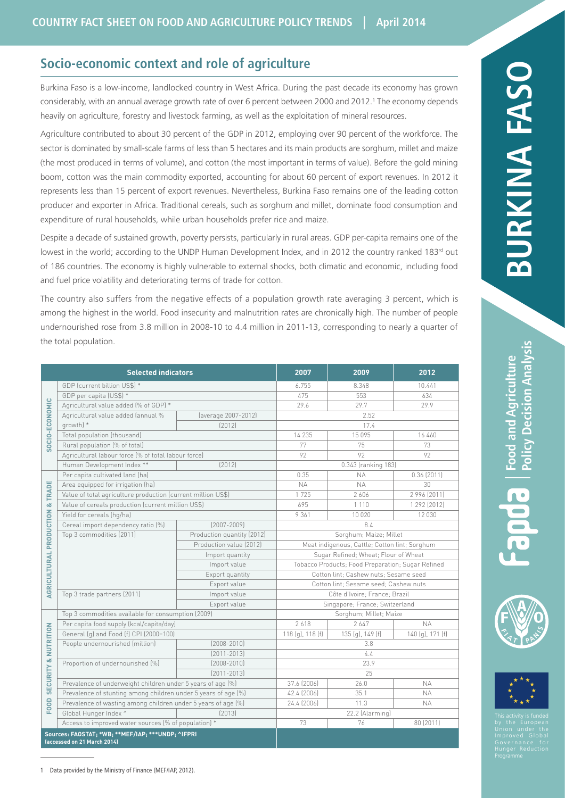## **Socio-economic context and role of agriculture**

Burkina Faso is a low-income, landlocked country in West Africa. During the past decade its economy has grown considerably, with an annual average growth rate of over 6 percent between 2000 and 2012.<sup>1</sup> The economy depends heavily on agriculture, forestry and livestock farming, as well as the exploitation of mineral resources.

Agriculture contributed to about 30 percent of the GDP in 2012, employing over 90 percent of the workforce. The sector is dominated by small-scale farms of less than 5 hectares and its main products are sorghum, millet and maize (the most produced in terms of volume), and cotton (the most important in terms of value). Before the gold mining boom, cotton was the main commodity exported, accounting for about 60 percent of export revenues. In 2012 it represents less than 15 percent of export revenues. Nevertheless, Burkina Faso remains one of the leading cotton producer and exporter in Africa. Traditional cereals, such as sorghum and millet, dominate food consumption and expenditure of rural households, while urban households prefer rice and maize.

Despite a decade of sustained growth, poverty persists, particularly in rural areas. GDP per-capita remains one of the lowest in the world; according to the UNDP Human Development Index, and in 2012 the country ranked 183<sup>rd</sup> out of 186 countries. The economy is highly vulnerable to external shocks, both climatic and economic, including food and fuel price volatility and deteriorating terms of trade for cotton.

The country also suffers from the negative effects of a population growth rate averaging 3 percent, which is among the highest in the world. Food insecurity and malnutrition rates are chronically high. The number of people undernourished rose from 3.8 million in 2008-10 to 4.4 million in 2011-13, corresponding to nearly a quarter of the total population.

| <b>Selected indicators</b>                                                       |                                                                |                            | 2007                                              | 2009                | 2012             |
|----------------------------------------------------------------------------------|----------------------------------------------------------------|----------------------------|---------------------------------------------------|---------------------|------------------|
| $\circ$<br>SOCIO-ECONOMI                                                         | GDP (current billion US\$) *                                   |                            | 6.755                                             | 8.348               | 10.441           |
|                                                                                  | GDP per capita (US\$) *                                        |                            | 475                                               | 553                 | 634              |
|                                                                                  | Agricultural value added (% of GDP) *                          |                            | 29.6                                              | 29.7                | 29.9             |
|                                                                                  | Agricultural value added (annual %                             | (average 2007-2012)        | 2.52                                              |                     |                  |
|                                                                                  | growth) *                                                      | [2012]                     |                                                   | 17.4                |                  |
|                                                                                  | Total population (thousand)                                    |                            | 14 235                                            | 15 0 9 5            | 16 460           |
|                                                                                  | Rural population (% of total)                                  |                            | 77                                                | 75                  | 73               |
|                                                                                  | Agricultural labour force (% of total labour force)            |                            | 92                                                | 92                  | 92               |
|                                                                                  | Human Development Index **                                     | [2012]                     |                                                   | 0.343 (ranking 183) |                  |
| <b>TRADE</b><br>ŏ<br>AGRICULTURAL PRODUCTION                                     | Per capita cultivated land (ha)                                |                            | 0.35                                              | <b>NA</b>           | 0.36(2011)       |
|                                                                                  | Area equipped for irrigation (ha)                              |                            | <b>NA</b>                                         | <b>NA</b>           | 30               |
|                                                                                  | Value of total agriculture production (current million US\$)   |                            | 1725                                              | 2606                | 2 996 (2011)     |
|                                                                                  | Value of cereals production (current million US\$)             |                            | 695                                               | 1 1 1 0             | 1 292 (2012)     |
|                                                                                  | Yield for cereals (hq/ha)                                      |                            | 9361                                              | 10 0 20             | 12 030           |
|                                                                                  | Cereal import dependency ratio [%]                             | $[2007 - 2009]$            | 8.4                                               |                     |                  |
|                                                                                  | Top 3 commodities (2011)                                       | Production quantity (2012) | Sorghum; Maize; Millet                            |                     |                  |
|                                                                                  |                                                                | Production value (2012)    | Meat indigenous, Cattle; Cotton lint; Sorghum     |                     |                  |
|                                                                                  |                                                                | Import quantity            | Sugar Refined; Wheat; Flour of Wheat              |                     |                  |
|                                                                                  |                                                                | Import value               | Tobacco Products; Food Preparation; Sugar Refined |                     |                  |
|                                                                                  |                                                                | Export quantity            | Cotton lint; Cashew nuts; Sesame seed             |                     |                  |
|                                                                                  |                                                                | Export value               | Cotton lint; Sesame seed; Cashew nuts             |                     |                  |
|                                                                                  | Top 3 trade partners (2011)                                    | Import value               | Côte d'Ivoire; France; Brazil                     |                     |                  |
|                                                                                  |                                                                | Export value               | Singapore; France; Switzerland                    |                     |                  |
| NUTRITION<br>œ<br><b>SECURITY</b><br>FOOD                                        | Top 3 commodities available for consumption (2009)             |                            | Sorghum; Millet; Maize                            |                     |                  |
|                                                                                  | Per capita food supply (kcal/capita/day)                       |                            | 2618                                              | 2647                | <b>NA</b>        |
|                                                                                  | General (g) and Food (f) CPI (2000=100)                        |                            | 118 (g), 118 (f)                                  | 135 (g), 149 (f)    | 140 (g), 171 (f) |
|                                                                                  | People undernourished (million)                                | $[2008 - 2010]$            | 3.8                                               |                     |                  |
|                                                                                  |                                                                | $[2011 - 2013]$            | 4.4                                               |                     |                  |
|                                                                                  | Proportion of undernourished (%)                               | $[2008 - 2010]$            | 23.9                                              |                     |                  |
|                                                                                  |                                                                | $[2011 - 2013]$            | 25                                                |                     |                  |
|                                                                                  | Prevalence of underweight children under 5 years of age (%)    |                            | 37.6 (2006)                                       | 26.0                | <b>NA</b>        |
|                                                                                  | Prevalence of stunting among children under 5 years of age (%) |                            | 42.4 (2006)                                       | 35.1                | <b>NA</b>        |
|                                                                                  | Prevalence of wasting among children under 5 years of age (%)  |                            | 24.4 (2006)<br>11.3<br><b>NA</b>                  |                     |                  |
|                                                                                  | Global Hunger Index ^                                          | [2013]                     | 22.2 (Alarming)                                   |                     |                  |
|                                                                                  | Access to improved water sources (% of population) *           |                            | 73                                                | 76                  | 80 (2011)        |
| Sources: FAOSTAT; *WB; **MEF/IAP; ***UNDP; ^IFPRI<br>(accessed on 21 March 2014) |                                                                |                            |                                                   |                     |                  |



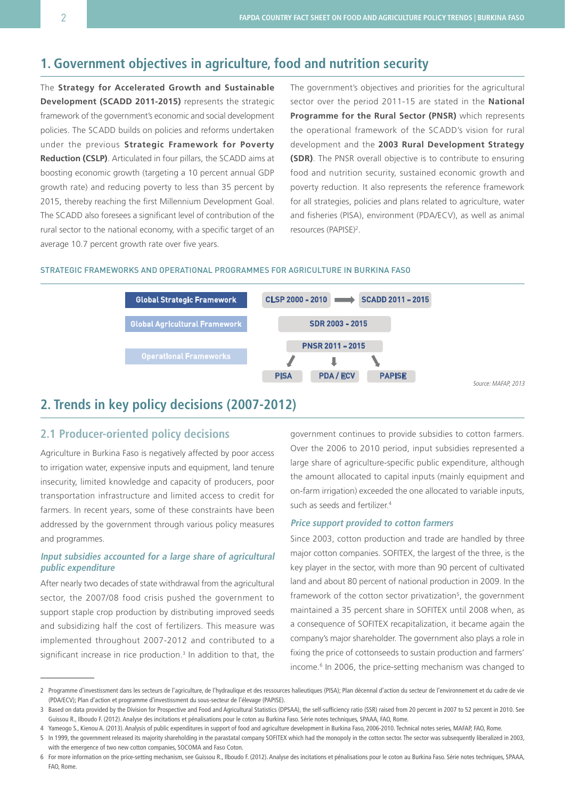# **1. Government objectives in agriculture, food and nutrition security**

The **Strategy for Accelerated Growth and Sustainable Development (SCADD 2011-2015)** represents the strategic framework of the government's economic and social development policies. The SCADD builds on policies and reforms undertaken under the previous **Strategic Framework for Poverty Reduction (CSLP)**. Articulated in four pillars, the SCADD aims at boosting economic growth (targeting a 10 percent annual GDP growth rate) and reducing poverty to less than 35 percent by 2015, thereby reaching the first Millennium Development Goal. The SCADD also foresees a significant level of contribution of the rural sector to the national economy, with a specific target of an average 10.7 percent growth rate over five years.

The government's objectives and priorities for the agricultural sector over the period 2011-15 are stated in the **National Programme for the Rural Sector (PNSR)** which represents the operational framework of the SCADD's vision for rural development and the **2003 Rural Development Strategy (SDR)**. The PNSR overall objective is to contribute to ensuring food and nutrition security, sustained economic growth and poverty reduction. It also represents the reference framework for all strategies, policies and plans related to agriculture, water and fisheries (PISA), environment (PDA/ECV), as well as animal resources (PAPISE)<sup>2</sup>.

#### Strategic frameworks and operational programmes for agriculture in Burkina Faso



# **2. Trends in key policy decisions (2007-2012)**

## **2.1 Producer-oriented policy decisions**

Agriculture in Burkina Faso is negatively affected by poor access to irrigation water, expensive inputs and equipment, land tenure insecurity, limited knowledge and capacity of producers, poor transportation infrastructure and limited access to credit for farmers. In recent years, some of these constraints have been addressed by the government through various policy measures and programmes.

## **Input subsidies accounted for a large share of agricultural public expenditure**

After nearly two decades of state withdrawal from the agricultural sector, the 2007/08 food crisis pushed the government to support staple crop production by distributing improved seeds and subsidizing half the cost of fertilizers. This measure was implemented throughout 2007-2012 and contributed to a significant increase in rice production.<sup>3</sup> In addition to that, the government continues to provide subsidies to cotton farmers. Over the 2006 to 2010 period, input subsidies represented a large share of agriculture-specific public expenditure, although the amount allocated to capital inputs (mainly equipment and on-farm irrigation) exceeded the one allocated to variable inputs, such as seeds and fertilizer.<sup>4</sup>

### **Price support provided to cotton farmers**

Since 2003, cotton production and trade are handled by three major cotton companies. SOFITEX, the largest of the three, is the key player in the sector, with more than 90 percent of cultivated land and about 80 percent of national production in 2009. In the framework of the cotton sector privatization<sup>5</sup>, the government maintained a 35 percent share in SOFITEX until 2008 when, as a consequence of SOFITEX recapitalization, it became again the company's major shareholder. The government also plays a role in fixing the price of cottonseeds to sustain production and farmers' income.<sup>6</sup> In 2006, the price-setting mechanism was changed to

<sup>2</sup> Programme d'investissment dans les secteurs de l'agriculture, de l'hydraulique et des ressources halieutiques (PISA); Plan décennal d'action du secteur de l'environnement et du cadre de vie (PDA/ECV); Plan d'action et programme d'investissment du sous-secteur de l'élevage (PAPISE).

<sup>3</sup> Based on data provided by the Division for Prospective and Food and Agricultural Statistics (DPSAA), the self-sufficiency ratio (SSR) raised from 20 percent in 2007 to 52 percent in 2010. See Guissou R., Ilboudo F. (2012). Analyse des incitations et pénalisations pour le coton au Burkina Faso. Série notes techniques, SPAAA, FAO, Rome.

<sup>4</sup> Yameogo S., Kienou A. (2013). Analysis of public expenditures in support of food and agriculture development in Burkina Faso, 2006-2010. Technical notes series, MAFAP, FAO, Rome.

<sup>5</sup> In 1999, the government released its majority shareholding in the parastatal company SOFITEX which had the monopoly in the cotton sector. The sector was subsequently liberalized in 2003, with the emergence of two new cotton companies, SOCOMA and Faso Coton.

<sup>6</sup> For more information on the price-setting mechanism, see Guissou R., Ilboudo F. (2012). Analyse des incitations et pénalisations pour le coton au Burkina Faso. Série notes techniques, SPAAA, FAO, Rome.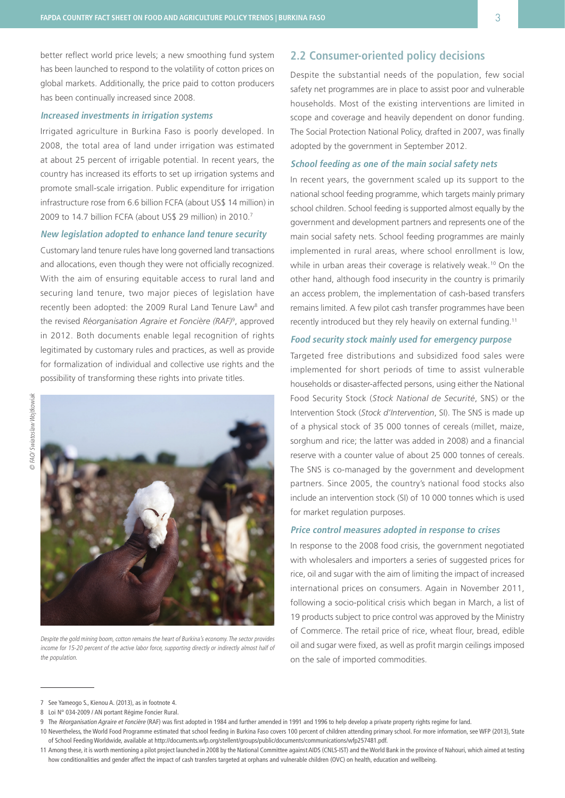better reflect world price levels; a new smoothing fund system has been launched to respond to the volatility of cotton prices on global markets. Additionally, the price paid to cotton producers has been continually increased since 2008.

### **Increased investments in irrigation systems**

Irrigated agriculture in Burkina Faso is poorly developed. In 2008, the total area of land under irrigation was estimated at about 25 percent of irrigable potential. In recent years, the country has increased its efforts to set up irrigation systems and promote small-scale irrigation. Public expenditure for irrigation infrastructure rose from 6.6 billion FCFA (about US\$ 14 million) in 2009 to 14.7 billion FCFA (about US\$ 29 million) in 2010.<sup>7</sup>

## **New legislation adopted to enhance land tenure security**

Customary land tenure rules have long governed land transactions and allocations, even though they were not officially recognized. With the aim of ensuring equitable access to rural land and securing land tenure, two major pieces of legislation have recently been adopted: the 2009 Rural Land Tenure Law<sup>8</sup> and the revised *Réorganisation Agraire et Foncière (RAF)*<sup>9</sup> , approved in 2012. Both documents enable legal recognition of rights legitimated by customary rules and practices, as well as provide for formalization of individual and collective use rights and the possibility of transforming these rights into private titles.



Despite the gold mining boom, cotton remains the heart of Burkina's economy. The sector provides income for 15-20 percent of the active labor force, supporting directly or indirectly almost half of the population.

## **2.2 Consumer-oriented policy decisions**

Despite the substantial needs of the population, few social safety net programmes are in place to assist poor and vulnerable households. Most of the existing interventions are limited in scope and coverage and heavily dependent on donor funding. The Social Protection National Policy, drafted in 2007, was finally adopted by the government in September 2012.

### **School feeding as one of the main social safety nets**

In recent years, the government scaled up its support to the national school feeding programme, which targets mainly primary school children. School feeding is supported almost equally by the government and development partners and represents one of the main social safety nets. School feeding programmes are mainly implemented in rural areas, where school enrollment is low, while in urban areas their coverage is relatively weak.<sup>10</sup> On the other hand, although food insecurity in the country is primarily an access problem, the implementation of cash-based transfers remains limited. A few pilot cash transfer programmes have been recently introduced but they rely heavily on external funding.11

### **Food security stock mainly used for emergency purpose**

Targeted free distributions and subsidized food sales were implemented for short periods of time to assist vulnerable households or disaster-affected persons, using either the National Food Security Stock (*Stock National de Securité*, SNS) or the Intervention Stock (*Stock d'Intervention*, SI). The SNS is made up of a physical stock of 35 000 tonnes of cereals (millet, maize, sorghum and rice; the latter was added in 2008) and a financial reserve with a counter value of about 25 000 tonnes of cereals. The SNS is co-managed by the government and development partners. Since 2005, the country's national food stocks also include an intervention stock (SI) of 10 000 tonnes which is used for market regulation purposes.

#### **Price control measures adopted in response to crises**

In response to the 2008 food crisis, the government negotiated with wholesalers and importers a series of suggested prices for rice, oil and sugar with the aim of limiting the impact of increased international prices on consumers. Again in November 2011, following a socio-political crisis which began in March, a list of 19 products subject to price control was approved by the Ministry of Commerce. The retail price of rice, wheat flour, bread, edible oil and sugar were fixed, as well as profit margin ceilings imposed on the sale of imported commodities.

<sup>7</sup> See Yameogo S., Kienou A. (2013), as in footnote 4.

<sup>8</sup> Loi N° 034-2009 / AN portant Régime Foncier Rural.

<sup>9</sup> The Réorganisation Agraire et Foncière (RAF) was first adopted in 1984 and further amended in 1991 and 1996 to help develop a private property rights regime for land.

<sup>10</sup> Nevertheless, the World Food Programme estimated that school feeding in Burkina Faso covers 100 percent of children attending primary school. For more information, see WFP (2013), State of School Feeding Worldwide, available at http://documents.wfp.org/stellent/groups/public/documents/communications/wfp257481.pdf.

<sup>11</sup> Among these, it is worth mentioning a pilot project launched in 2008 by the National Committee against AIDS (CNLS-IST) and the World Bank in the province of Nahouri, which aimed at testing how conditionalities and gender affect the impact of cash transfers targeted at orphans and vulnerable children (OVC) on health, education and wellbeing.